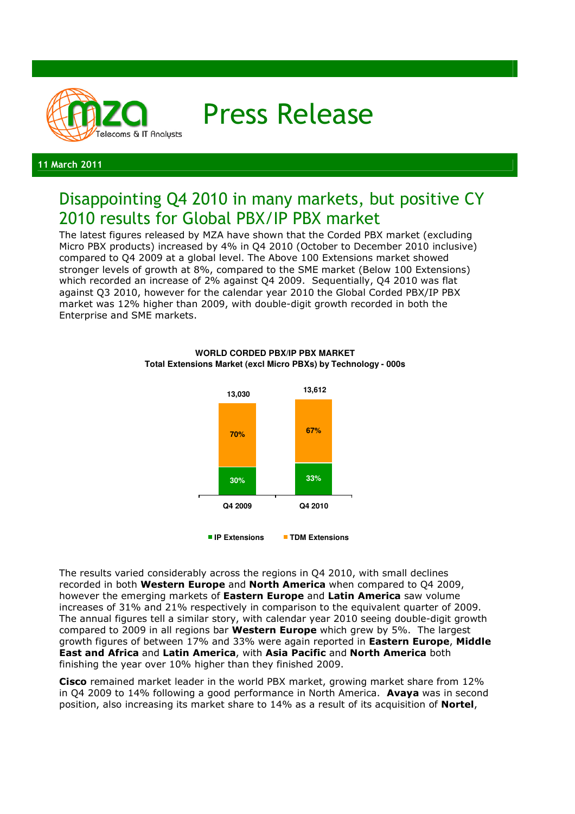

Press Release

#### 11 March 2011

# Disappointing Q4 2010 in many markets, but positive CY 2010 results for Global PBX/IP PBX market

The latest figures released by MZA have shown that the Corded PBX market (excluding Micro PBX products) increased by 4% in Q4 2010 (October to December 2010 inclusive) compared to Q4 2009 at a global level. The Above 100 Extensions market showed stronger levels of growth at 8%, compared to the SME market (Below 100 Extensions) which recorded an increase of 2% against Q4 2009. Sequentially, Q4 2010 was flat against Q3 2010, however for the calendar year 2010 the Global Corded PBX/IP PBX market was 12% higher than 2009, with double-digit growth recorded in both the Enterprise and SME markets.



**WORLD CORDED PBX/IP PBX MARKET Total Extensions Market (excl Micro PBXs) by Technology - 000s**

The results varied considerably across the regions in Q4 2010, with small declines recorded in both Western Europe and North America when compared to Q4 2009, however the emerging markets of Eastern Europe and Latin America saw volume increases of 31% and 21% respectively in comparison to the equivalent quarter of 2009. The annual figures tell a similar story, with calendar year 2010 seeing double-digit growth compared to 2009 in all regions bar Western Europe which grew by 5%. The largest growth figures of between 17% and 33% were again reported in Eastern Europe, Middle East and Africa and Latin America, with Asia Pacific and North America both finishing the year over 10% higher than they finished 2009.

Cisco remained market leader in the world PBX market, growing market share from 12% in Q4 2009 to 14% following a good performance in North America. Avaya was in second position, also increasing its market share to 14% as a result of its acquisition of **Nortel**,